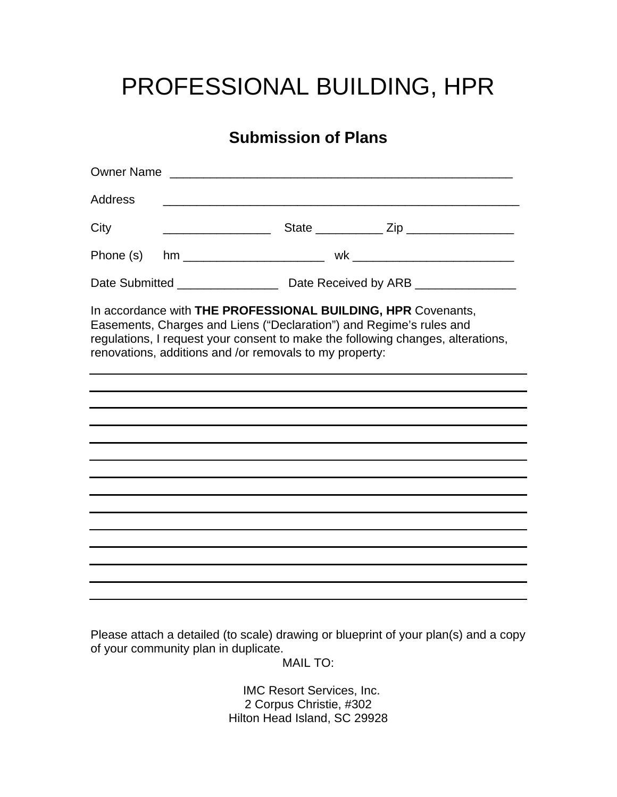## PROFESSIONAL BUILDING, HPR

## **Submission of Plans**

| <b>Owner Name</b>                                                                                                                                                                                                                                                                 |                                                                                                                       |  |  |
|-----------------------------------------------------------------------------------------------------------------------------------------------------------------------------------------------------------------------------------------------------------------------------------|-----------------------------------------------------------------------------------------------------------------------|--|--|
| <b>Address</b>                                                                                                                                                                                                                                                                    | <u> 1989 - Johann Stein, mars et al. 1989 - Ann an Dùbhlachd ann an Dùbhlachd ann an Dùbhlachd ann an Dùbhlachd a</u> |  |  |
| City                                                                                                                                                                                                                                                                              |                                                                                                                       |  |  |
| Phone (s)                                                                                                                                                                                                                                                                         |                                                                                                                       |  |  |
|                                                                                                                                                                                                                                                                                   |                                                                                                                       |  |  |
| In accordance with THE PROFESSIONAL BUILDING, HPR Covenants,<br>Easements, Charges and Liens ("Declaration") and Regime's rules and<br>regulations, I request your consent to make the following changes, alterations,<br>renovations, additions and /or removals to my property: |                                                                                                                       |  |  |
|                                                                                                                                                                                                                                                                                   |                                                                                                                       |  |  |
|                                                                                                                                                                                                                                                                                   |                                                                                                                       |  |  |
|                                                                                                                                                                                                                                                                                   |                                                                                                                       |  |  |
|                                                                                                                                                                                                                                                                                   |                                                                                                                       |  |  |
|                                                                                                                                                                                                                                                                                   |                                                                                                                       |  |  |
|                                                                                                                                                                                                                                                                                   |                                                                                                                       |  |  |
|                                                                                                                                                                                                                                                                                   |                                                                                                                       |  |  |
|                                                                                                                                                                                                                                                                                   |                                                                                                                       |  |  |
|                                                                                                                                                                                                                                                                                   |                                                                                                                       |  |  |
|                                                                                                                                                                                                                                                                                   |                                                                                                                       |  |  |
|                                                                                                                                                                                                                                                                                   |                                                                                                                       |  |  |
|                                                                                                                                                                                                                                                                                   |                                                                                                                       |  |  |

Please attach a detailed (to scale) drawing or blueprint of your plan(s) and a copy of your community plan in duplicate.

MAIL TO:

 IMC Resort Services, Inc. 2 Corpus Christie, #302 Hilton Head Island, SC 29928